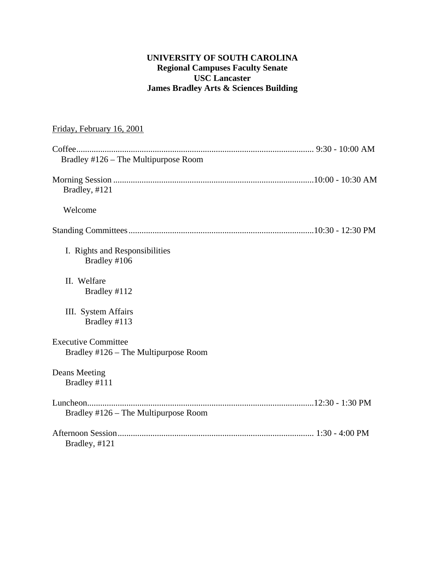## **UNIVERSITY OF SOUTH CAROLINA Regional Campuses Faculty Senate USC Lancaster James Bradley Arts & Sciences Building**

| Friday, February 16, 2001                                          |  |
|--------------------------------------------------------------------|--|
|                                                                    |  |
| Bradley #126 – The Multipurpose Room                               |  |
| Bradley, #121                                                      |  |
| Welcome                                                            |  |
|                                                                    |  |
| I. Rights and Responsibilities<br>Bradley #106                     |  |
| II. Welfare<br>Bradley #112                                        |  |
| III. System Affairs<br>Bradley #113                                |  |
| <b>Executive Committee</b><br>Bradley #126 – The Multipurpose Room |  |
| Deans Meeting<br>Bradley #111                                      |  |
| Bradley #126 – The Multipurpose Room                               |  |
| Bradley, #121                                                      |  |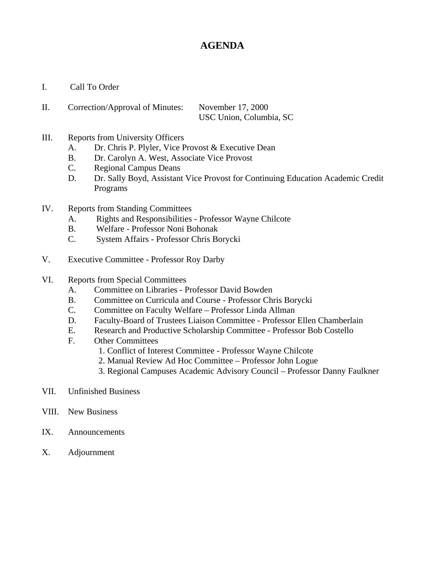# **AGENDA**

- I. Call To Order
- II. Correction/Approval of Minutes: November 17, 2000 USC Union, Columbia, SC
- III. Reports from University Officers
	- A. Dr. Chris P. Plyler, Vice Provost & Executive Dean
	- B. Dr. Carolyn A. West, Associate Vice Provost
	- C. Regional Campus Deans
	- D. Dr. Sally Boyd, Assistant Vice Provost for Continuing Education Academic Credit Programs
- IV. Reports from Standing Committees
	- A. Rights and Responsibilities Professor Wayne Chilcote
	- B. Welfare Professor Noni Bohonak
	- C. System Affairs Professor Chris Borycki
- V. Executive Committee Professor Roy Darby
- VI. Reports from Special Committees
	- A. Committee on Libraries Professor David Bowden
	- B. Committee on Curricula and Course Professor Chris Borycki
	- C. Committee on Faculty Welfare Professor Linda Allman
	- D. Faculty-Board of Trustees Liaison Committee Professor Ellen Chamberlain
	- E. Research and Productive Scholarship Committee Professor Bob Costello
	- F. Other Committees
		- 1. Conflict of Interest Committee Professor Wayne Chilcote
		- 2. Manual Review Ad Hoc Committee Professor John Logue
		- 3. Regional Campuses Academic Advisory Council Professor Danny Faulkner
- VII. Unfinished Business
- VIII. New Business
- IX. Announcements
- X. Adjournment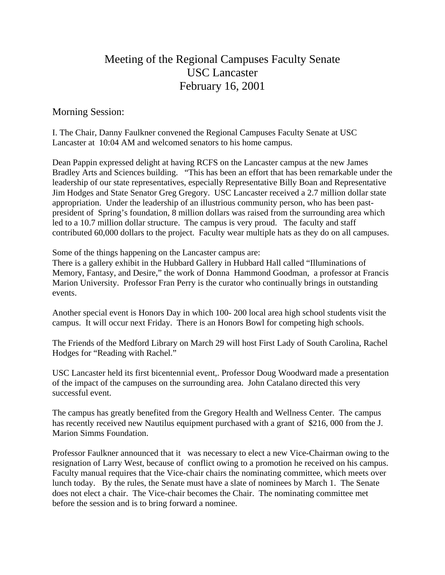# Meeting of the Regional Campuses Faculty Senate USC Lancaster February 16, 2001

Morning Session:

I. The Chair, Danny Faulkner convened the Regional Campuses Faculty Senate at USC Lancaster at 10:04 AM and welcomed senators to his home campus.

Dean Pappin expressed delight at having RCFS on the Lancaster campus at the new James Bradley Arts and Sciences building. "This has been an effort that has been remarkable under the leadership of our state representatives, especially Representative Billy Boan and Representative Jim Hodges and State Senator Greg Gregory. USC Lancaster received a 2.7 million dollar state appropriation. Under the leadership of an illustrious community person, who has been pastpresident of Spring's foundation, 8 million dollars was raised from the surrounding area which led to a 10.7 million dollar structure. The campus is very proud. The faculty and staff contributed 60,000 dollars to the project. Faculty wear multiple hats as they do on all campuses.

Some of the things happening on the Lancaster campus are:

There is a gallery exhibit in the Hubbard Gallery in Hubbard Hall called "Illuminations of Memory, Fantasy, and Desire," the work of Donna Hammond Goodman, a professor at Francis Marion University. Professor Fran Perry is the curator who continually brings in outstanding events.

Another special event is Honors Day in which 100- 200 local area high school students visit the campus. It will occur next Friday. There is an Honors Bowl for competing high schools.

The Friends of the Medford Library on March 29 will host First Lady of South Carolina, Rachel Hodges for "Reading with Rachel."

USC Lancaster held its first bicentennial event,. Professor Doug Woodward made a presentation of the impact of the campuses on the surrounding area. John Catalano directed this very successful event.

The campus has greatly benefited from the Gregory Health and Wellness Center. The campus has recently received new Nautilus equipment purchased with a grant of \$216, 000 from the J. Marion Simms Foundation.

Professor Faulkner announced that it was necessary to elect a new Vice-Chairman owing to the resignation of Larry West, because of conflict owing to a promotion he received on his campus. Faculty manual requires that the Vice-chair chairs the nominating committee, which meets over lunch today. By the rules, the Senate must have a slate of nominees by March 1. The Senate does not elect a chair. The Vice-chair becomes the Chair. The nominating committee met before the session and is to bring forward a nominee.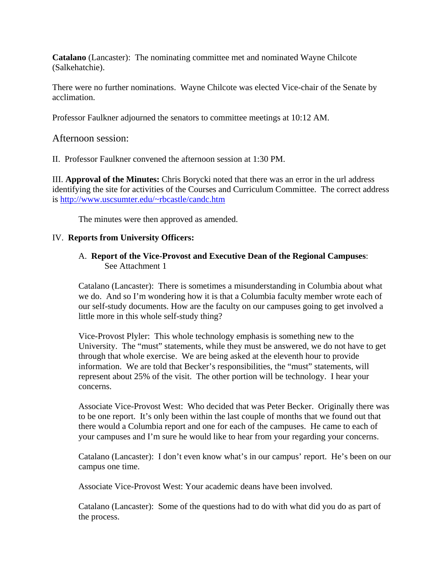**Catalano** (Lancaster): The nominating committee met and nominated Wayne Chilcote (Salkehatchie).

There were no further nominations. Wayne Chilcote was elected Vice-chair of the Senate by acclimation.

Professor Faulkner adjourned the senators to committee meetings at 10:12 AM.

Afternoon session:

II. Professor Faulkner convened the afternoon session at 1:30 PM.

III. **Approval of the Minutes:** Chris Borycki noted that there was an error in the url address identifying the site for activities of the Courses and Curriculum Committee. The correct address is [http://www.uscsumter.edu/~rbcastle/candc.htm](http://www.uscsumter.edu/%7Erbcastle/candc.htm)

The minutes were then approved as amended.

#### IV. **Reports from University Officers:**

#### A. **Report of the Vice-Provost and Executive Dean of the Regional Campuses**: **See Attachment 1**

Catalano (Lancaster): There is sometimes a misunderstanding in Columbia about what we do. And so I'm wondering how it is that a Columbia faculty member wrote each of our self-study documents. How are the faculty on our campuses going to get involved a little more in this whole self-study thing?

Vice-Provost Plyler: This whole technology emphasis is something new to the University. The "must" statements, while they must be answered, we do not have to get through that whole exercise. We are being asked at the eleventh hour to provide information. We are told that Becker's responsibilities, the "must" statements, will represent about 25% of the visit. The other portion will be technology. I hear your concerns.

Associate Vice-Provost West: Who decided that was Peter Becker. Originally there was to be one report. It's only been within the last couple of months that we found out that there would a Columbia report and one for each of the campuses. He came to each of your campuses and I'm sure he would like to hear from your regarding your concerns.

Catalano (Lancaster): I don't even know what's in our campus' report. He's been on our campus one time.

Associate Vice-Provost West: Your academic deans have been involved.

Catalano (Lancaster): Some of the questions had to do with what did you do as part of the process.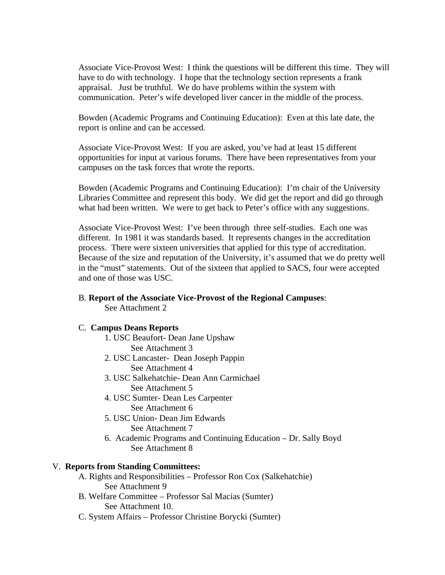Associate Vice-Provost West: I think the questions will be different this time. They will have to do with technology. I hope that the technology section represents a frank appraisal. Just be truthful. We do have problems within the system with communication. Peter's wife developed liver cancer in the middle of the process.

Bowden (Academic Programs and Continuing Education): Even at this late date, the report is online and can be accessed.

Associate Vice-Provost West: If you are asked, you've had at least 15 different opportunities for input at various forums. There have been representatives from your campuses on the task forces that wrote the reports.

Bowden (Academic Programs and Continuing Education): I'm chair of the University Libraries Committee and represent this body. We did get the report and did go through what had been written. We were to get back to Peter's office with any suggestions.

Associate Vice-Provost West: I've been through three self-studies. Each one was different. In 1981 it was standards based. It represents changes in the accreditation process. There were sixteen universities that applied for this type of accreditation. Because of the size and reputation of the University, it's assumed that we do pretty well in the "must" statements. Out of the sixteen that applied to SACS, four were accepted and one of those was USC.

#### B. **Report of the Associate Vice-Provost of the Regional Campuses**:

See Attachment 2

#### C. **Campus Deans Reports**

- 1. USC Beaufort- Dean Jane Upshaw See Attachment 3
- 2. USC Lancaster- Dean Joseph Pappin See Attachment 4
- 3. USC Salkehatchie- Dean Ann Carmichael See Attachment 5
- 4. USC Sumter- Dean Les Carpenter See Attachment 6
- 5. USC Union- Dean Jim Edwards See Attachment 7
- 6. Academic Programs and Continuing Education Dr. Sally Boyd See Attachment 8

## V. **Reports from Standing Committees:**

- A. Rights and Responsibilities Professor Ron Cox (Salkehatchie) See Attachment 9
- B. Welfare Committee Professor Sal Macias (Sumter) See Attachment 10.
- C. System Affairs Professor Christine Borycki (Sumter)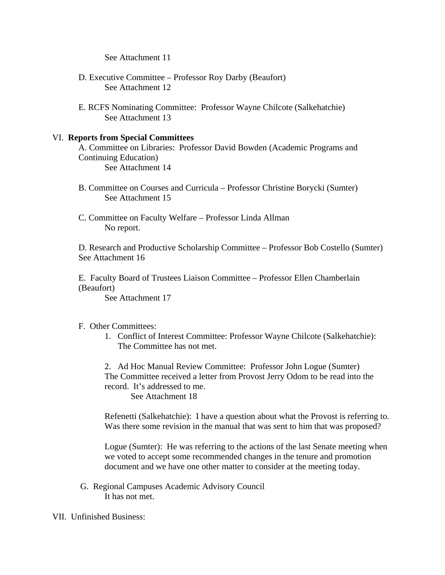See Attachment 11

- D. Executive Committee Professor Roy Darby (Beaufort) See Attachment 12
- E. RCFS Nominating Committee: Professor Wayne Chilcote (Salkehatchie) See Attachment 13

#### VI. **Reports from Special Committees**

A. Committee on Libraries: Professor David Bowden (Academic Programs and Continuing Education) See Attachment 14

- B. Committee on Courses and Curricula Professor Christine Borycki (Sumter) See Attachment 15
- C. Committee on Faculty Welfare Professor Linda Allman No report.

D. Research and Productive Scholarship Committee – Professor Bob Costello (Sumter) See Attachment 16

E. Faculty Board of Trustees Liaison Committee – Professor Ellen Chamberlain (Beaufort)

See Attachment 17

#### F. Other Committees:

1. Conflict of Interest Committee: Professor Wayne Chilcote (Salkehatchie): The Committee has not met.

2. Ad Hoc Manual Review Committee: Professor John Logue (Sumter) The Committee received a letter from Provost Jerry Odom to be read into the record. It's addressed to me. See Attachment 18

Refenetti (Salkehatchie): I have a question about what the Provost is referring to. Was there some revision in the manual that was sent to him that was proposed?

Logue (Sumter): He was referring to the actions of the last Senate meeting when we voted to accept some recommended changes in the tenure and promotion document and we have one other matter to consider at the meeting today.

G. Regional Campuses Academic Advisory Council It has not met.

VII. Unfinished Business: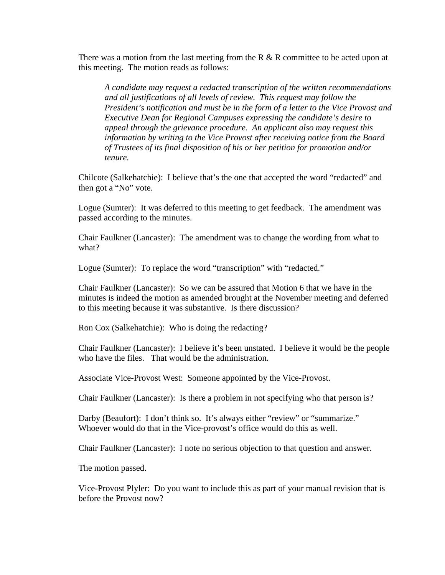There was a motion from the last meeting from the R  $\&$  R committee to be acted upon at this meeting. The motion reads as follows:

*A candidate may request a redacted transcription of the written recommendations and all justifications of all levels of review. This request may follow the President's notification and must be in the form of a letter to the Vice Provost and Executive Dean for Regional Campuses expressing the candidate's desire to appeal through the grievance procedure. An applicant also may request this information by writing to the Vice Provost after receiving notice from the Board of Trustees of its final disposition of his or her petition for promotion and/or tenure.* 

Chilcote (Salkehatchie): I believe that's the one that accepted the word "redacted" and then got a "No" vote.

Logue (Sumter): It was deferred to this meeting to get feedback. The amendment was passed according to the minutes.

Chair Faulkner (Lancaster): The amendment was to change the wording from what to what?

Logue (Sumter): To replace the word "transcription" with "redacted."

Chair Faulkner (Lancaster): So we can be assured that Motion 6 that we have in the minutes is indeed the motion as amended brought at the November meeting and deferred to this meeting because it was substantive. Is there discussion?

Ron Cox (Salkehatchie): Who is doing the redacting?

Chair Faulkner (Lancaster): I believe it's been unstated. I believe it would be the people who have the files. That would be the administration.

Associate Vice-Provost West: Someone appointed by the Vice-Provost.

Chair Faulkner (Lancaster): Is there a problem in not specifying who that person is?

Darby (Beaufort): I don't think so. It's always either "review" or "summarize." Whoever would do that in the Vice-provost's office would do this as well.

Chair Faulkner (Lancaster): I note no serious objection to that question and answer.

The motion passed.

Vice-Provost Plyler: Do you want to include this as part of your manual revision that is before the Provost now?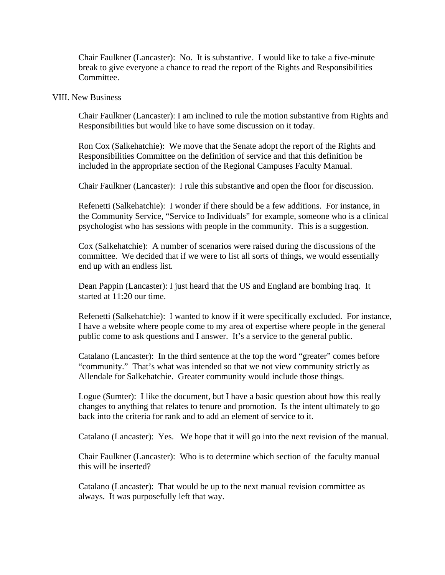Chair Faulkner (Lancaster): No. It is substantive. I would like to take a five-minute break to give everyone a chance to read the report of the Rights and Responsibilities Committee.

#### VIII. New Business

Chair Faulkner (Lancaster): I am inclined to rule the motion substantive from Rights and Responsibilities but would like to have some discussion on it today.

Ron Cox (Salkehatchie): We move that the Senate adopt the report of the Rights and Responsibilities Committee on the definition of service and that this definition be included in the appropriate section of the Regional Campuses Faculty Manual.

Chair Faulkner (Lancaster): I rule this substantive and open the floor for discussion.

Refenetti (Salkehatchie): I wonder if there should be a few additions. For instance, in the Community Service, "Service to Individuals" for example, someone who is a clinical psychologist who has sessions with people in the community. This is a suggestion.

Cox (Salkehatchie): A number of scenarios were raised during the discussions of the committee. We decided that if we were to list all sorts of things, we would essentially end up with an endless list.

Dean Pappin (Lancaster): I just heard that the US and England are bombing Iraq. It started at 11:20 our time.

Refenetti (Salkehatchie): I wanted to know if it were specifically excluded. For instance, I have a website where people come to my area of expertise where people in the general public come to ask questions and I answer. It's a service to the general public.

Catalano (Lancaster): In the third sentence at the top the word "greater" comes before "community." That's what was intended so that we not view community strictly as Allendale for Salkehatchie. Greater community would include those things.

Logue (Sumter): I like the document, but I have a basic question about how this really changes to anything that relates to tenure and promotion. Is the intent ultimately to go back into the criteria for rank and to add an element of service to it.

Catalano (Lancaster): Yes. We hope that it will go into the next revision of the manual.

Chair Faulkner (Lancaster): Who is to determine which section of the faculty manual this will be inserted?

Catalano (Lancaster): That would be up to the next manual revision committee as always. It was purposefully left that way.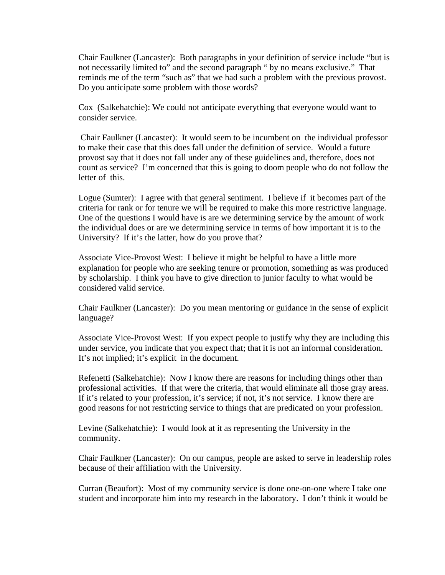Chair Faulkner (Lancaster): Both paragraphs in your definition of service include "but is not necessarily limited to" and the second paragraph " by no means exclusive." That reminds me of the term "such as" that we had such a problem with the previous provost. Do you anticipate some problem with those words?

Cox (Salkehatchie): We could not anticipate everything that everyone would want to consider service.

 Chair Faulkner (Lancaster): It would seem to be incumbent on the individual professor to make their case that this does fall under the definition of service. Would a future provost say that it does not fall under any of these guidelines and, therefore, does not count as service? I'm concerned that this is going to doom people who do not follow the letter of this.

Logue (Sumter): I agree with that general sentiment. I believe if it becomes part of the criteria for rank or for tenure we will be required to make this more restrictive language. One of the questions I would have is are we determining service by the amount of work the individual does or are we determining service in terms of how important it is to the University? If it's the latter, how do you prove that?

Associate Vice-Provost West: I believe it might be helpful to have a little more explanation for people who are seeking tenure or promotion, something as was produced by scholarship. I think you have to give direction to junior faculty to what would be considered valid service.

Chair Faulkner (Lancaster): Do you mean mentoring or guidance in the sense of explicit language?

Associate Vice-Provost West: If you expect people to justify why they are including this under service, you indicate that you expect that; that it is not an informal consideration. It's not implied; it's explicit in the document.

Refenetti (Salkehatchie): Now I know there are reasons for including things other than professional activities. If that were the criteria, that would eliminate all those gray areas. If it's related to your profession, it's service; if not, it's not service. I know there are good reasons for not restricting service to things that are predicated on your profession.

Levine (Salkehatchie): I would look at it as representing the University in the community.

Chair Faulkner (Lancaster): On our campus, people are asked to serve in leadership roles because of their affiliation with the University.

Curran (Beaufort): Most of my community service is done one-on-one where I take one student and incorporate him into my research in the laboratory. I don't think it would be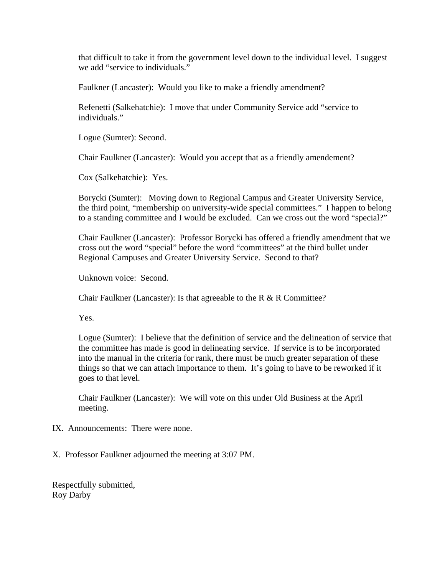that difficult to take it from the government level down to the individual level. I suggest we add "service to individuals."

Faulkner (Lancaster): Would you like to make a friendly amendment?

Refenetti (Salkehatchie): I move that under Community Service add "service to individuals."

Logue (Sumter): Second.

Chair Faulkner (Lancaster): Would you accept that as a friendly amendement?

Cox (Salkehatchie): Yes.

Borycki (Sumter): Moving down to Regional Campus and Greater University Service, the third point, "membership on university-wide special committees." I happen to belong to a standing committee and I would be excluded. Can we cross out the word "special?"

Chair Faulkner (Lancaster): Professor Borycki has offered a friendly amendment that we cross out the word "special" before the word "committees" at the third bullet under Regional Campuses and Greater University Service. Second to that?

Unknown voice: Second.

Chair Faulkner (Lancaster): Is that agreeable to the R & R Committee?

Yes.

Logue (Sumter): I believe that the definition of service and the delineation of service that the committee has made is good in delineating service. If service is to be incorporated into the manual in the criteria for rank, there must be much greater separation of these things so that we can attach importance to them. It's going to have to be reworked if it goes to that level.

Chair Faulkner (Lancaster): We will vote on this under Old Business at the April meeting.

- IX. Announcements: There were none.
- X. Professor Faulkner adjourned the meeting at 3:07 PM.

Respectfully submitted, Roy Darby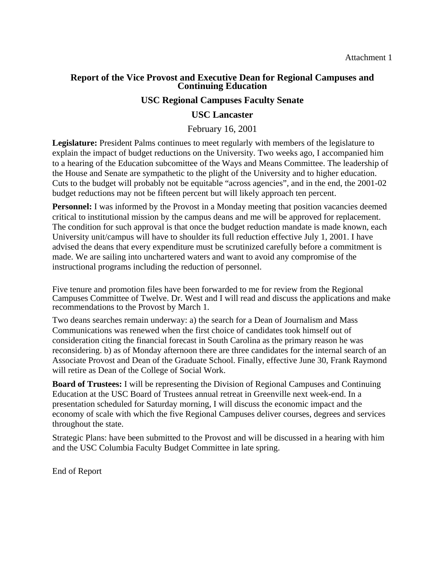#### **Report of the Vice Provost and Executive Dean for Regional Campuses and Continuing Education**

#### **USC Regional Campuses Faculty Senate**

#### **USC Lancaster**

#### February 16, 2001

**Legislature:** President Palms continues to meet regularly with members of the legislature to explain the impact of budget reductions on the University. Two weeks ago, I accompanied him to a hearing of the Education subcomittee of the Ways and Means Committee. The leadership of the House and Senate are sympathetic to the plight of the University and to higher education. Cuts to the budget will probably not be equitable "across agencies", and in the end, the 2001-02 budget reductions may not be fifteen percent but will likely approach ten percent.

**Personnel:** I was informed by the Provost in a Monday meeting that position vacancies deemed critical to institutional mission by the campus deans and me will be approved for replacement. The condition for such approval is that once the budget reduction mandate is made known, each University unit/campus will have to shoulder its full reduction effective July 1, 2001. I have advised the deans that every expenditure must be scrutinized carefully before a commitment is made. We are sailing into unchartered waters and want to avoid any compromise of the instructional programs including the reduction of personnel.

Five tenure and promotion files have been forwarded to me for review from the Regional Campuses Committee of Twelve. Dr. West and I will read and discuss the applications and make recommendations to the Provost by March 1.

Two deans searches remain underway: a) the search for a Dean of Journalism and Mass Communications was renewed when the first choice of candidates took himself out of consideration citing the financial forecast in South Carolina as the primary reason he was reconsidering. b) as of Monday afternoon there are three candidates for the internal search of an Associate Provost and Dean of the Graduate School. Finally, effective June 30, Frank Raymond will retire as Dean of the College of Social Work.

**Board of Trustees:** I will be representing the Division of Regional Campuses and Continuing Education at the USC Board of Trustees annual retreat in Greenville next week-end. In a presentation scheduled for Saturday morning, I will discuss the economic impact and the economy of scale with which the five Regional Campuses deliver courses, degrees and services throughout the state.

Strategic Plans: have been submitted to the Provost and will be discussed in a hearing with him and the USC Columbia Faculty Budget Committee in late spring.

End of Report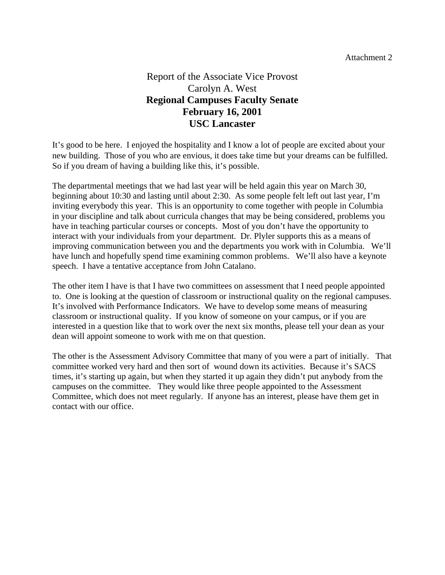# Report of the Associate Vice Provost Carolyn A. West **Regional Campuses Faculty Senate February 16, 2001 USC Lancaster**

It's good to be here. I enjoyed the hospitality and I know a lot of people are excited about your new building. Those of you who are envious, it does take time but your dreams can be fulfilled. So if you dream of having a building like this, it's possible.

The departmental meetings that we had last year will be held again this year on March 30, beginning about 10:30 and lasting until about 2:30. As some people felt left out last year, I'm inviting everybody this year. This is an opportunity to come together with people in Columbia in your discipline and talk about curricula changes that may be being considered, problems you have in teaching particular courses or concepts. Most of you don't have the opportunity to interact with your individuals from your department. Dr. Plyler supports this as a means of improving communication between you and the departments you work with in Columbia. We'll have lunch and hopefully spend time examining common problems. We'll also have a keynote speech. I have a tentative acceptance from John Catalano.

The other item I have is that I have two committees on assessment that I need people appointed to. One is looking at the question of classroom or instructional quality on the regional campuses. It's involved with Performance Indicators. We have to develop some means of measuring classroom or instructional quality. If you know of someone on your campus, or if you are interested in a question like that to work over the next six months, please tell your dean as your dean will appoint someone to work with me on that question.

The other is the Assessment Advisory Committee that many of you were a part of initially. That committee worked very hard and then sort of wound down its activities. Because it's SACS times, it's starting up again, but when they started it up again they didn't put anybody from the campuses on the committee. They would like three people appointed to the Assessment Committee, which does not meet regularly. If anyone has an interest, please have them get in contact with our office.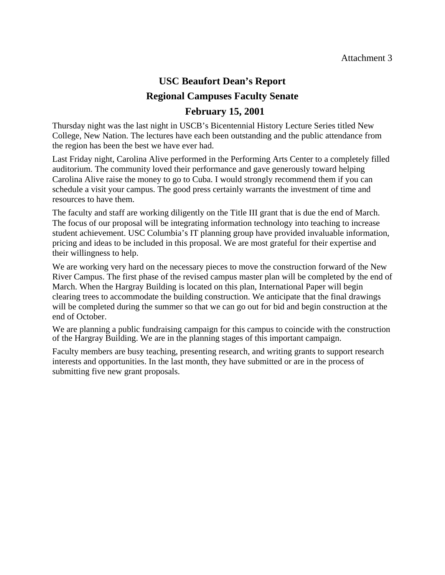# **USC Beaufort Dean's Report Regional Campuses Faculty Senate**

# **February 15, 2001**

Thursday night was the last night in USCB's Bicentennial History Lecture Series titled New College, New Nation. The lectures have each been outstanding and the public attendance from the region has been the best we have ever had.

Last Friday night, Carolina Alive performed in the Performing Arts Center to a completely filled auditorium. The community loved their performance and gave generously toward helping Carolina Alive raise the money to go to Cuba. I would strongly recommend them if you can schedule a visit your campus. The good press certainly warrants the investment of time and resources to have them.

The faculty and staff are working diligently on the Title III grant that is due the end of March. The focus of our proposal will be integrating information technology into teaching to increase student achievement. USC Columbia's IT planning group have provided invaluable information, pricing and ideas to be included in this proposal. We are most grateful for their expertise and their willingness to help.

We are working very hard on the necessary pieces to move the construction forward of the New River Campus. The first phase of the revised campus master plan will be completed by the end of March. When the Hargray Building is located on this plan, International Paper will begin clearing trees to accommodate the building construction. We anticipate that the final drawings will be completed during the summer so that we can go out for bid and begin construction at the end of October.

We are planning a public fundraising campaign for this campus to coincide with the construction of the Hargray Building. We are in the planning stages of this important campaign.

Faculty members are busy teaching, presenting research, and writing grants to support research interests and opportunities. In the last month, they have submitted or are in the process of submitting five new grant proposals.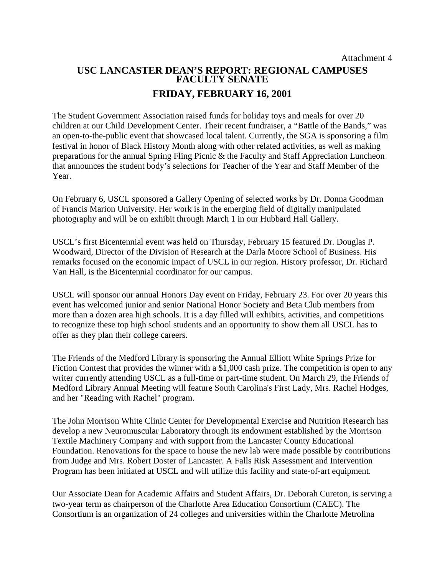# **USC LANCASTER DEAN'S REPORT: REGIONAL CAMPUSES FACULTY SENATE FRIDAY, FEBRUARY 16, 2001**

The Student Government Association raised funds for holiday toys and meals for over 20 children at our Child Development Center. Their recent fundraiser, a "Battle of the Bands," was an open-to-the-public event that showcased local talent. Currently, the SGA is sponsoring a film festival in honor of Black History Month along with other related activities, as well as making preparations for the annual Spring Fling Picnic & the Faculty and Staff Appreciation Luncheon that announces the student body's selections for Teacher of the Year and Staff Member of the Year.

On February 6, USCL sponsored a Gallery Opening of selected works by Dr. Donna Goodman of Francis Marion University. Her work is in the emerging field of digitally manipulated photography and will be on exhibit through March 1 in our Hubbard Hall Gallery.

USCL's first Bicentennial event was held on Thursday, February 15 featured Dr. Douglas P. Woodward, Director of the Division of Research at the Darla Moore School of Business. His remarks focused on the economic impact of USCL in our region. History professor, Dr. Richard Van Hall, is the Bicentennial coordinator for our campus.

USCL will sponsor our annual Honors Day event on Friday, February 23. For over 20 years this event has welcomed junior and senior National Honor Society and Beta Club members from more than a dozen area high schools. It is a day filled will exhibits, activities, and competitions to recognize these top high school students and an opportunity to show them all USCL has to offer as they plan their college careers.

The Friends of the Medford Library is sponsoring the Annual Elliott White Springs Prize for Fiction Contest that provides the winner with a \$1,000 cash prize. The competition is open to any writer currently attending USCL as a full-time or part-time student. On March 29, the Friends of Medford Library Annual Meeting will feature South Carolina's First Lady, Mrs. Rachel Hodges, and her "Reading with Rachel" program.

The John Morrison White Clinic Center for Developmental Exercise and Nutrition Research has develop a new Neuromuscular Laboratory through its endowment established by the Morrison Textile Machinery Company and with support from the Lancaster County Educational Foundation. Renovations for the space to house the new lab were made possible by contributions from Judge and Mrs. Robert Doster of Lancaster. A Falls Risk Assessment and Intervention Program has been initiated at USCL and will utilize this facility and state-of-art equipment.

Our Associate Dean for Academic Affairs and Student Affairs, Dr. Deborah Cureton, is serving a two-year term as chairperson of the Charlotte Area Education Consortium (CAEC). The Consortium is an organization of 24 colleges and universities within the Charlotte Metrolina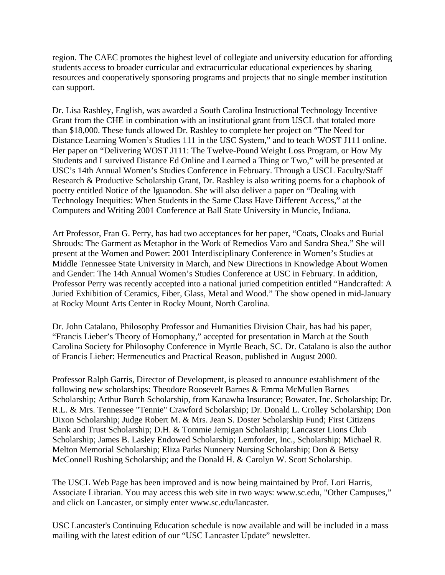region. The CAEC promotes the highest level of collegiate and university education for affording students access to broader curricular and extracurricular educational experiences by sharing resources and cooperatively sponsoring programs and projects that no single member institution can support.

Dr. Lisa Rashley, English, was awarded a South Carolina Instructional Technology Incentive Grant from the CHE in combination with an institutional grant from USCL that totaled more than \$18,000. These funds allowed Dr. Rashley to complete her project on "The Need for Distance Learning Women's Studies 111 in the USC System," and to teach WOST J111 online. Her paper on "Delivering WOST J111: The Twelve-Pound Weight Loss Program, or How My Students and I survived Distance Ed Online and Learned a Thing or Two," will be presented at USC's 14th Annual Women's Studies Conference in February. Through a USCL Faculty/Staff Research & Productive Scholarship Grant, Dr. Rashley is also writing poems for a chapbook of poetry entitled Notice of the Iguanodon. She will also deliver a paper on "Dealing with Technology Inequities: When Students in the Same Class Have Different Access," at the Computers and Writing 2001 Conference at Ball State University in Muncie, Indiana.

Art Professor, Fran G. Perry, has had two acceptances for her paper, "Coats, Cloaks and Burial Shrouds: The Garment as Metaphor in the Work of Remedios Varo and Sandra Shea." She will present at the Women and Power: 2001 Interdisciplinary Conference in Women's Studies at Middle Tennessee State University in March, and New Directions in Knowledge About Women and Gender: The 14th Annual Women's Studies Conference at USC in February. In addition, Professor Perry was recently accepted into a national juried competition entitled "Handcrafted: A Juried Exhibition of Ceramics, Fiber, Glass, Metal and Wood." The show opened in mid-January at Rocky Mount Arts Center in Rocky Mount, North Carolina.

Dr. John Catalano, Philosophy Professor and Humanities Division Chair, has had his paper, "Francis Lieber's Theory of Homophany," accepted for presentation in March at the South Carolina Society for Philosophy Conference in Myrtle Beach, SC. Dr. Catalano is also the author of Francis Lieber: Hermeneutics and Practical Reason, published in August 2000.

Professor Ralph Garris, Director of Development, is pleased to announce establishment of the following new scholarships: Theodore Roosevelt Barnes & Emma McMullen Barnes Scholarship; Arthur Burch Scholarship, from Kanawha Insurance; Bowater, Inc. Scholarship; Dr. R.L. & Mrs. Tennessee "Tennie" Crawford Scholarship; Dr. Donald L. Crolley Scholarship; Don Dixon Scholarship; Judge Robert M. & Mrs. Jean S. Doster Scholarship Fund; First Citizens Bank and Trust Scholarship; D.H. & Tommie Jernigan Scholarship; Lancaster Lions Club Scholarship; James B. Lasley Endowed Scholarship; Lemforder, Inc., Scholarship; Michael R. Melton Memorial Scholarship; Eliza Parks Nunnery Nursing Scholarship; Don & Betsy McConnell Rushing Scholarship; and the Donald H. & Carolyn W. Scott Scholarship.

The USCL Web Page has been improved and is now being maintained by Prof. Lori Harris, Associate Librarian. You may access this web site in two ways: [www.sc.edu,](http://www.sc.edu/) "Other Campuses," and click on Lancaster, or simply enter [www.sc.edu/lancaster](http://www.sc.edu/lancaster).

USC Lancaster's Continuing Education schedule is now available and will be included in a mass mailing with the latest edition of our "USC Lancaster Update" newsletter.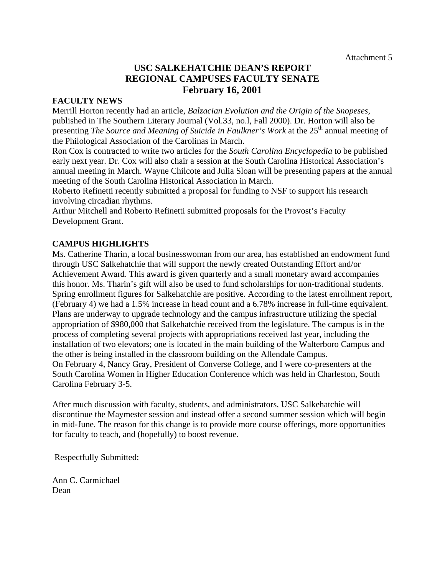## **USC SALKEHATCHIE DEAN'S REPORT REGIONAL CAMPUSES FACULTY SENATE February 16, 2001**

#### **FACULTY NEWS**

Merrill Horton recently had an article, *Balzacian Evolution and the Origin of the Snopeses,* published in The Southern Literary Journal (Vol.33, no.l, Fall 2000). Dr. Horton will also be presenting *The Source and Meaning of Suicide in Faulkner's Work* at the 25<sup>th</sup> annual meeting of the Philological Association of the Carolinas in March.

Ron Cox is contracted to write two articles for the *South Carolina Encyclopedia* to be published early next year. Dr. Cox will also chair a session at the South Carolina Historical Association's annual meeting in March. Wayne Chilcote and Julia Sloan will be presenting papers at the annual meeting of the South Carolina Historical Association in March.

Roberto Refinetti recently submitted a proposal for funding to NSF to support his research involving circadian rhythms.

Arthur Mitchell and Roberto Refinetti submitted proposals for the Provost's Faculty Development Grant.

## **CAMPUS HIGHLIGHTS**

Ms. Catherine Tharin, a local businesswoman from our area, has established an endowment fund through USC Salkehatchie that will support the newly created Outstanding Effort and/or Achievement Award. This award is given quarterly and a small monetary award accompanies this honor. Ms. Tharin's gift will also be used to fund scholarships for non-traditional students. Spring enrollment figures for Salkehatchie are positive. According to the latest enrollment report, (February 4) we had a 1.5% increase in head count and a 6.78% increase in full-time equivalent. Plans are underway to upgrade technology and the campus infrastructure utilizing the special appropriation of \$980,000 that Salkehatchie received from the legislature. The campus is in the process of completing several projects with appropriations received last year, including the installation of two elevators; one is located in the main building of the Walterboro Campus and the other is being installed in the classroom building on the Allendale Campus. On February 4, Nancy Gray, President of Converse College, and I were co-presenters at the South Carolina Women in Higher Education Conference which was held in Charleston, South Carolina February 3-5.

After much discussion with faculty, students, and administrators, USC Salkehatchie will discontinue the Maymester session and instead offer a second summer session which will begin in mid-June. The reason for this change is to provide more course offerings, more opportunities for faculty to teach, and (hopefully) to boost revenue.

Respectfully Submitted:

Ann C. Carmichael Dean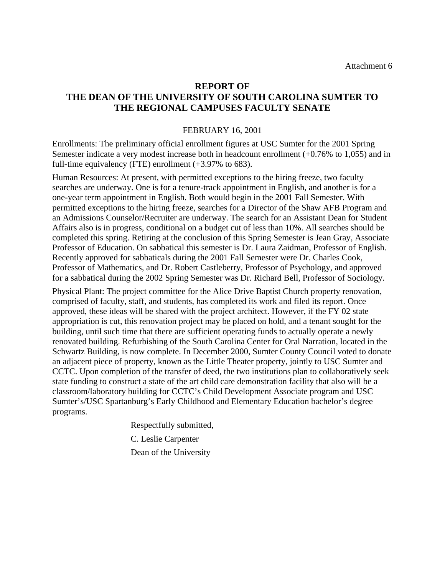## **REPORT OF THE DEAN OF THE UNIVERSITY OF SOUTH CAROLINA SUMTER TO THE REGIONAL CAMPUSES FACULTY SENATE**

#### FEBRUARY 16, 2001

Enrollments: The preliminary official enrollment figures at USC Sumter for the 2001 Spring Semester indicate a very modest increase both in headcount enrollment (+0.76% to 1,055) and in full-time equivalency (FTE) enrollment (+3.97% to 683).

Human Resources: At present, with permitted exceptions to the hiring freeze, two faculty searches are underway. One is for a tenure-track appointment in English, and another is for a one-year term appointment in English. Both would begin in the 2001 Fall Semester. With permitted exceptions to the hiring freeze, searches for a Director of the Shaw AFB Program and an Admissions Counselor/Recruiter are underway. The search for an Assistant Dean for Student Affairs also is in progress, conditional on a budget cut of less than 10%. All searches should be completed this spring. Retiring at the conclusion of this Spring Semester is Jean Gray, Associate Professor of Education. On sabbatical this semester is Dr. Laura Zaidman, Professor of English. Recently approved for sabbaticals during the 2001 Fall Semester were Dr. Charles Cook, Professor of Mathematics, and Dr. Robert Castleberry, Professor of Psychology, and approved for a sabbatical during the 2002 Spring Semester was Dr. Richard Bell, Professor of Sociology.

Physical Plant: The project committee for the Alice Drive Baptist Church property renovation, comprised of faculty, staff, and students, has completed its work and filed its report. Once approved, these ideas will be shared with the project architect. However, if the FY 02 state appropriation is cut, this renovation project may be placed on hold, and a tenant sought for the building, until such time that there are sufficient operating funds to actually operate a newly renovated building. Refurbishing of the South Carolina Center for Oral Narration, located in the Schwartz Building, is now complete. In December 2000, Sumter County Council voted to donate an adjacent piece of property, known as the Little Theater property, jointly to USC Sumter and CCTC. Upon completion of the transfer of deed, the two institutions plan to collaboratively seek state funding to construct a state of the art child care demonstration facility that also will be a classroom/laboratory building for CCTC's Child Development Associate program and USC Sumter's/USC Spartanburg's Early Childhood and Elementary Education bachelor's degree programs.

Respectfully submitted,

C. Leslie Carpenter

Dean of the University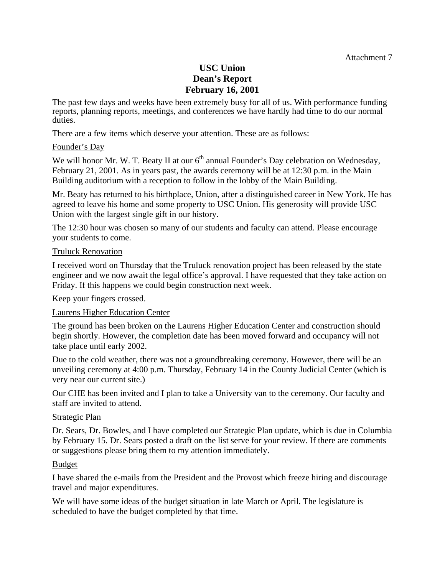## **USC Union Dean's Report February 16, 2001**

The past few days and weeks have been extremely busy for all of us. With performance funding reports, planning reports, meetings, and conferences we have hardly had time to do our normal duties.

There are a few items which deserve your attention. These are as follows:

#### Founder's Day

We will honor Mr. W. T. Beaty II at our  $6<sup>th</sup>$  annual Founder's Day celebration on Wednesday, February 21, 2001. As in years past, the awards ceremony will be at 12:30 p.m. in the Main Building auditorium with a reception to follow in the lobby of the Main Building.

Mr. Beaty has returned to his birthplace, Union, after a distinguished career in New York. He has agreed to leave his home and some property to USC Union. His generosity will provide USC Union with the largest single gift in our history.

The 12:30 hour was chosen so many of our students and faculty can attend. Please encourage your students to come.

#### Truluck Renovation

I received word on Thursday that the Truluck renovation project has been released by the state engineer and we now await the legal office's approval. I have requested that they take action on Friday. If this happens we could begin construction next week.

Keep your fingers crossed.

#### Laurens Higher Education Center

The ground has been broken on the Laurens Higher Education Center and construction should begin shortly. However, the completion date has been moved forward and occupancy will not take place until early 2002.

Due to the cold weather, there was not a groundbreaking ceremony. However, there will be an unveiling ceremony at 4:00 p.m. Thursday, February 14 in the County Judicial Center (which is very near our current site.)

Our CHE has been invited and I plan to take a University van to the ceremony. Our faculty and staff are invited to attend.

#### Strategic Plan

Dr. Sears, Dr. Bowles, and I have completed our Strategic Plan update, which is due in Columbia by February 15. Dr. Sears posted a draft on the list serve for your review. If there are comments or suggestions please bring them to my attention immediately.

#### Budget

I have shared the e-mails from the President and the Provost which freeze hiring and discourage travel and major expenditures.

We will have some ideas of the budget situation in late March or April. The legislature is scheduled to have the budget completed by that time.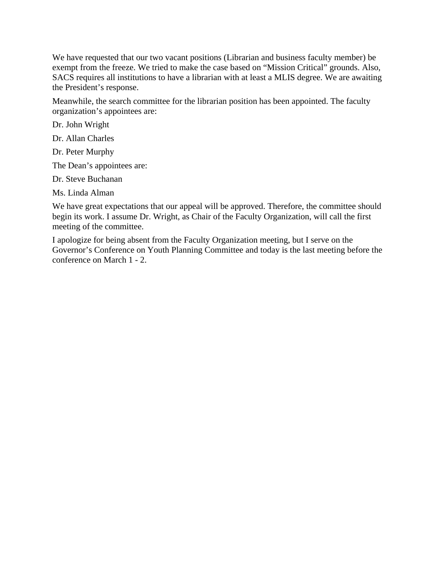We have requested that our two vacant positions (Librarian and business faculty member) be exempt from the freeze. We tried to make the case based on "Mission Critical" grounds. Also, SACS requires all institutions to have a librarian with at least a MLIS degree. We are awaiting the President's response.

Meanwhile, the search committee for the librarian position has been appointed. The faculty organization's appointees are:

Dr. John Wright

Dr. Allan Charles

Dr. Peter Murphy

The Dean's appointees are:

Dr. Steve Buchanan

Ms. Linda Alman

We have great expectations that our appeal will be approved. Therefore, the committee should begin its work. I assume Dr. Wright, as Chair of the Faculty Organization, will call the first meeting of the committee.

I apologize for being absent from the Faculty Organization meeting, but I serve on the Governor's Conference on Youth Planning Committee and today is the last meeting before the conference on March 1 - 2.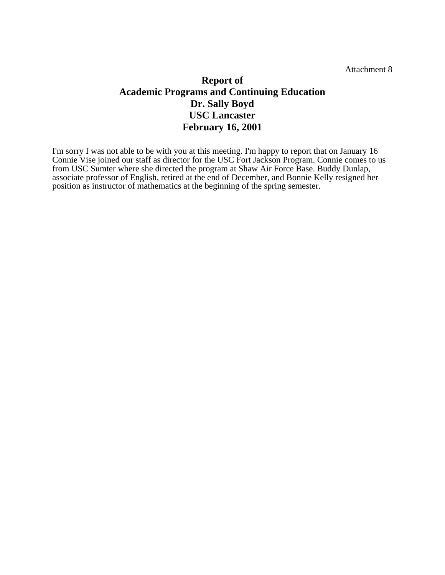Attachment 8

# **Report of Academic Programs and Continuing Education Dr. Sally Boyd USC Lancaster February 16, 2001**

I'm sorry I was not able to be with you at this meeting. I'm happy to report that on January 16 Connie Vise joined our staff as director for the USC Fort Jackson Program. Connie comes to us from USC Sumter where she directed the program at Shaw Air Force Base. Buddy Dunlap, associate professor of English, retired at the end of December, and Bonnie Kelly resigned her position as instructor of mathematics at the beginning of the spring semester.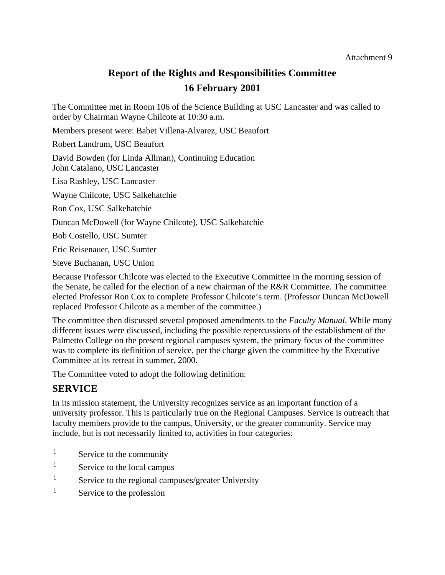# **Report of the Rights and Responsibilities Committee**

## **16 February 2001**

The Committee met in Room 106 of the Science Building at USC Lancaster and was called to order by Chairman Wayne Chilcote at 10:30 a.m.

Members present were: Babet Villena-Alvarez, USC Beaufort

Robert Landrum, USC Beaufort

David Bowden (for Linda Allman), Continuing Education John Catalano, USC Lancaster

Lisa Rashley, USC Lancaster

Wayne Chilcote, USC Salkehatchie

Ron Cox, USC Salkehatchie

Duncan McDowell (for Wayne Chilcote), USC Salkehatchie

Bob Costello, USC Sumter

Eric Reisenauer, USC Sumter

Steve Buchanan, USC Union

Because Professor Chilcote was elected to the Executive Committee in the morning session of the Senate, he called for the election of a new chairman of the R&R Committee. The committee elected Professor Ron Cox to complete Professor Chilcote's term. (Professor Duncan McDowell replaced Professor Chilcote as a member of the committee.)

The committee then discussed several proposed amendments to the *Faculty Manual*. While many different issues were discussed, including the possible repercussions of the establishment of the Palmetto College on the present regional campuses system, the primary focus of the committee was to complete its definition of service, per the charge given the committee by the Executive Committee at its retreat in summer, 2000.

The Committee voted to adopt the following definition:

# **SERVICE**

In its mission statement, the University recognizes service as an important function of a university professor. This is particularly true on the Regional Campuses. Service is outreach that faculty members provide to the campus, University, or the greater community. Service may include, but is not necessarily limited to, activities in four categories:

- ! Service to the community
- ! Service to the local campus
- ! Service to the regional campuses/greater University
- ! Service to the profession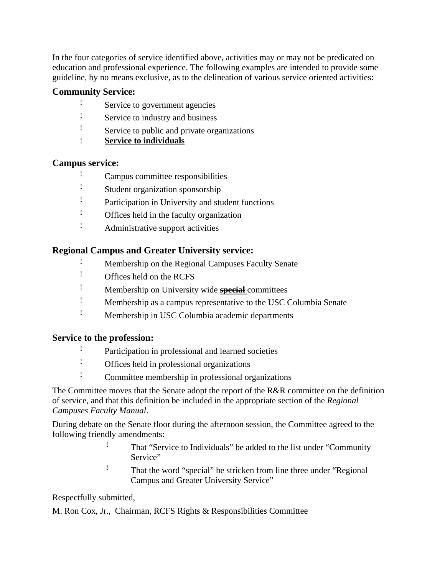In the four categories of service identified above, activities may or may not be predicated on education and professional experience. The following examples are intended to provide some guideline, by no means exclusive, as to the delineation of various service oriented activities:

## **Community Service:**

- ! Service to government agencies
- ! Service to industry and business
- ! Service to public and private organizations
- ! **Service to individuals**

## **Campus service:**

- ! Campus committee responsibilities
- ! Student organization sponsorship
- ! Participation in University and student functions
- ! Offices held in the faculty organization
- ! Administrative support activities

## **Regional Campus and Greater University service:**

- ! Membership on the Regional Campuses Faculty Senate
- ! Offices held on the RCFS
- ! Membership on University wide **special** committees
- ! Membership as a campus representative to the USC Columbia Senate
- ! Membership in USC Columbia academic departments

## **Service to the profession:**

- ! Participation in professional and learned societies
- ! Offices held in professional organizations
- ! Committee membership in professional organizations

The Committee moves that the Senate adopt the report of the R&R committee on the definition of service, and that this definition be included in the appropriate section of the *Regional Campuses Faculty Manual*.

During debate on the Senate floor during the afternoon session, the Committee agreed to the following friendly amendments:

- ! That "Service to Individuals" be added to the list under "Community Service"
- ! That the word "special" be stricken from line three under "Regional Campus and Greater University Service"

Respectfully submitted,

M. Ron Cox, Jr., Chairman, RCFS Rights & Responsibilities Committee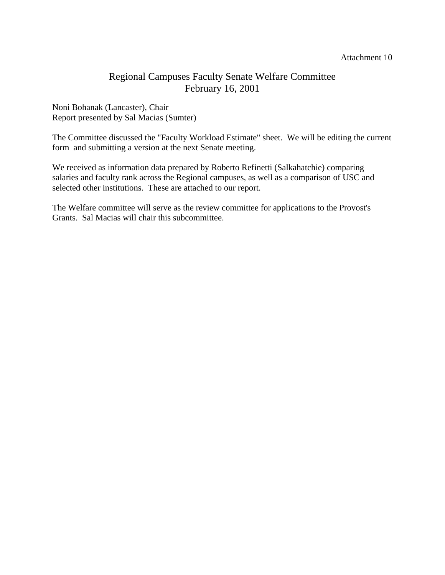#### Attachment 10

## Regional Campuses Faculty Senate Welfare Committee February 16, 2001

Noni Bohanak (Lancaster), Chair Report presented by Sal Macias (Sumter)

The Committee discussed the "Faculty Workload Estimate" sheet. We will be editing the current form and submitting a version at the next Senate meeting.

We received as information data prepared by Roberto Refinetti (Salkahatchie) comparing salaries and faculty rank across the Regional campuses, as well as a comparison of USC and selected other institutions. These are attached to our report.

The Welfare committee will serve as the review committee for applications to the Provost's Grants. Sal Macias will chair this subcommittee.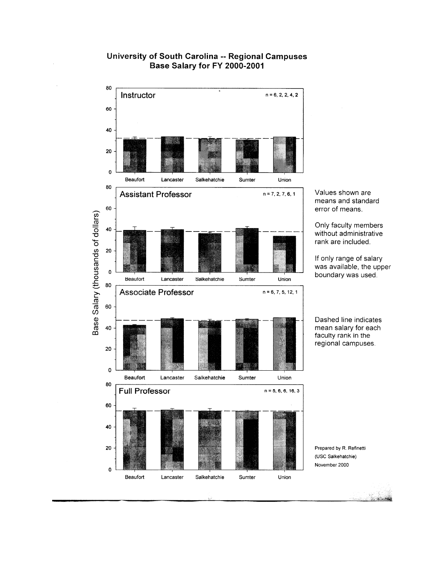

## University of South Carolina -- Regional Campuses Base Salary for FY 2000-2001

Values shown are means and standard error of means.

Only faculty members without administrative rank are included.

If only range of salary was available, the upper boundary was used.

Dashed line indicates mean salary for each faculty rank in the regional campuses.

Prepared by R. Refinetti (USC Salkehatchie) November 2000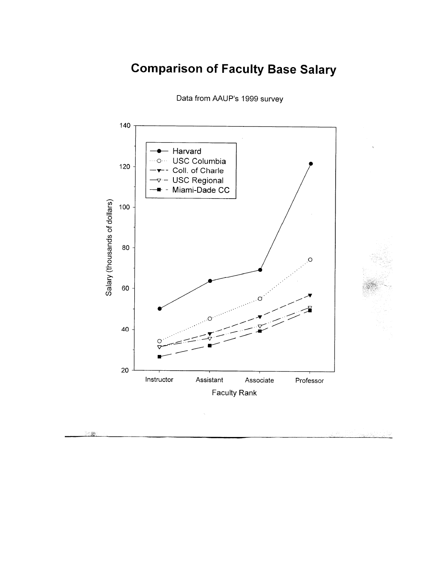# **Comparison of Faculty Base Salary**



Data from AAUP's 1999 survey

不能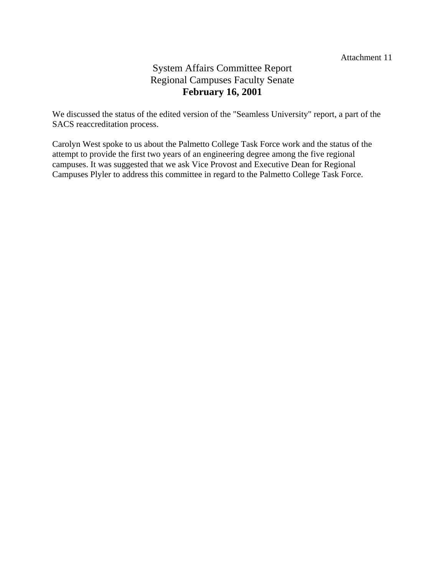# System Affairs Committee Report Regional Campuses Faculty Senate **February 16, 2001**

We discussed the status of the edited version of the "Seamless University" report, a part of the SACS reaccreditation process.

Carolyn West spoke to us about the Palmetto College Task Force work and the status of the attempt to provide the first two years of an engineering degree among the five regional campuses. It was suggested that we ask Vice Provost and Executive Dean for Regional Campuses Plyler to address this committee in regard to the Palmetto College Task Force.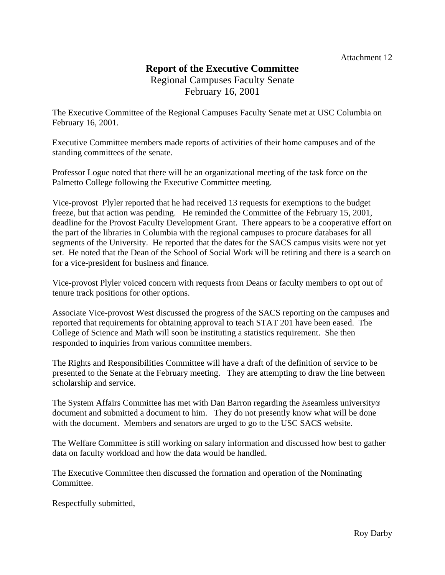## **Report of the Executive Committee**  Regional Campuses Faculty Senate February 16, 2001

The Executive Committee of the Regional Campuses Faculty Senate met at USC Columbia on February 16, 2001.

Executive Committee members made reports of activities of their home campuses and of the standing committees of the senate.

Professor Logue noted that there will be an organizational meeting of the task force on the Palmetto College following the Executive Committee meeting.

Vice-provost Plyler reported that he had received 13 requests for exemptions to the budget freeze, but that action was pending. He reminded the Committee of the February 15, 2001, deadline for the Provost Faculty Development Grant. There appears to be a cooperative effort on the part of the libraries in Columbia with the regional campuses to procure databases for all segments of the University. He reported that the dates for the SACS campus visits were not yet set. He noted that the Dean of the School of Social Work will be retiring and there is a search on for a vice-president for business and finance.

Vice-provost Plyler voiced concern with requests from Deans or faculty members to opt out of tenure track positions for other options.

Associate Vice-provost West discussed the progress of the SACS reporting on the campuses and reported that requirements for obtaining approval to teach STAT 201 have been eased. The College of Science and Math will soon be instituting a statistics requirement. She then responded to inquiries from various committee members.

The Rights and Responsibilities Committee will have a draft of the definition of service to be presented to the Senate at the February meeting. They are attempting to draw the line between scholarship and service.

The System Affairs Committee has met with Dan Barron regarding the Aseamless university@ document and submitted a document to him. They do not presently know what will be done with the document. Members and senators are urged to go to the USC SACS website.

The Welfare Committee is still working on salary information and discussed how best to gather data on faculty workload and how the data would be handled.

The Executive Committee then discussed the formation and operation of the Nominating Committee.

Respectfully submitted,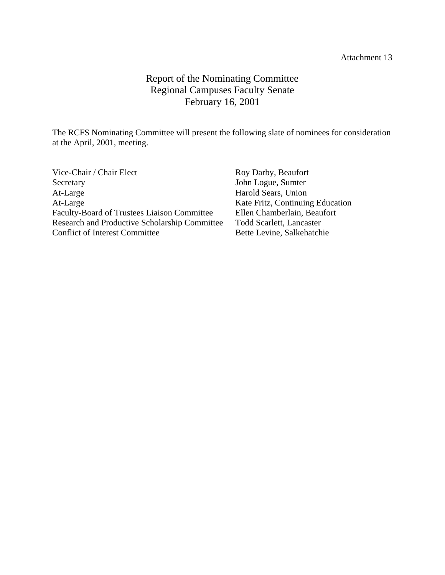#### Attachment 13

# Report of the Nominating Committee Regional Campuses Faculty Senate February 16, 2001

The RCFS Nominating Committee will present the following slate of nominees for consideration at the April, 2001, meeting.

| Vice-Chair / Chair Elect                             | Roy Darby, Beaufort              |
|------------------------------------------------------|----------------------------------|
| Secretary                                            | John Logue, Sumter               |
| At-Large                                             | Harold Sears, Union              |
| At-Large                                             | Kate Fritz, Continuing Education |
| <b>Faculty-Board of Trustees Liaison Committee</b>   | Ellen Chamberlain, Beaufort      |
| <b>Research and Productive Scholarship Committee</b> | <b>Todd Scarlett, Lancaster</b>  |
| <b>Conflict of Interest Committee</b>                | Bette Levine, Salkehatchie       |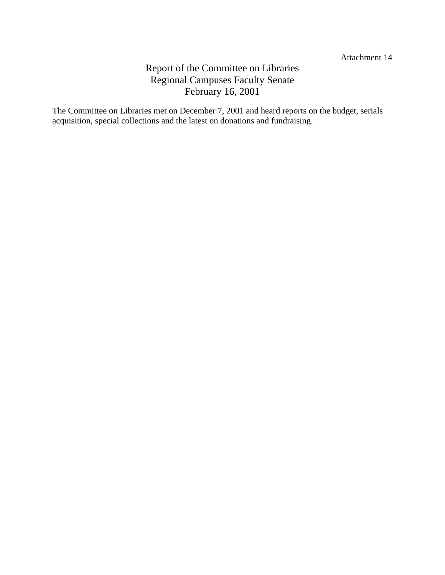# Report of the Committee on Libraries Regional Campuses Faculty Senate February 16, 2001

The Committee on Libraries met on December 7, 2001 and heard reports on the budget, serials acquisition, special collections and the latest on donations and fundraising.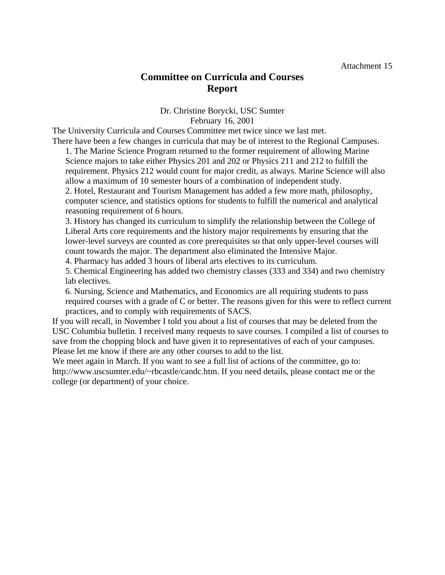# **Committee on Curricula and Courses Report**

#### Dr. Christine Borycki, USC Sumter February 16, 2001

The University Curricula and Courses Committee met twice since we last met. There have been a few changes in curricula that may be of interest to the Regional Campuses.

1. The Marine Science Program returned to the former requirement of allowing Marine Science majors to take either Physics 201 and 202 or Physics 211 and 212 to fulfill the requirement. Physics 212 would count for major credit, as always. Marine Science will also allow a maximum of 10 semester hours of a combination of independent study. 2. Hotel, Restaurant and Tourism Management has added a few more math, philosophy,

computer science, and statistics options for students to fulfill the numerical and analytical reasoning requirement of 6 hours.

3. History has changed its curriculum to simplify the relationship between the College of Liberal Arts core requirements and the history major requirements by ensuring that the lower-level surveys are counted as core prerequisites so that only upper-level courses will count towards the major. The department also eliminated the Intensive Major.

4. Pharmacy has added 3 hours of liberal arts electives to its curriculum.

5. Chemical Engineering has added two chemistry classes (333 and 334) and two chemistry lab electives.

6. Nursing, Science and Mathematics, and Economics are all requiring students to pass required courses with a grade of C or better. The reasons given for this were to reflect current practices, and to comply with requirements of SACS.

If you will recall, in November I told you about a list of courses that may be deleted from the USC Columbia bulletin. I received many requests to save courses. I compiled a list of courses to save from the chopping block and have given it to representatives of each of your campuses. Please let me know if there are any other courses to add to the list.

We meet again in March. If you want to see a full list of actions of the committee, go to: http://www.uscsumter.edu/~rbcastle/candc.htm. If you need details, please contact me or the college (or department) of your choice.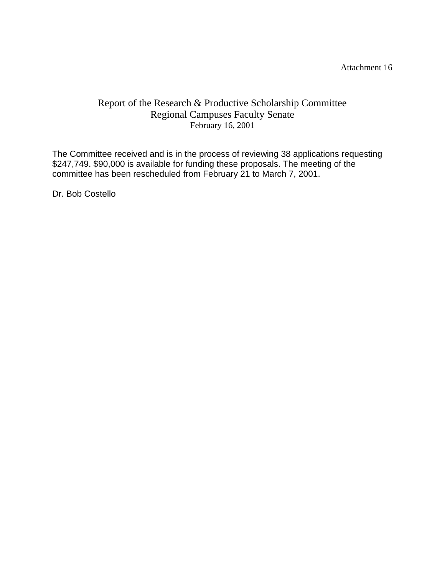Attachment 16

# Report of the Research & Productive Scholarship Committee Regional Campuses Faculty Senate February 16, 2001

The Committee received and is in the process of reviewing 38 applications requesting \$247,749. \$90,000 is available for funding these proposals. The meeting of the committee has been rescheduled from February 21 to March 7, 2001.

Dr. Bob Costello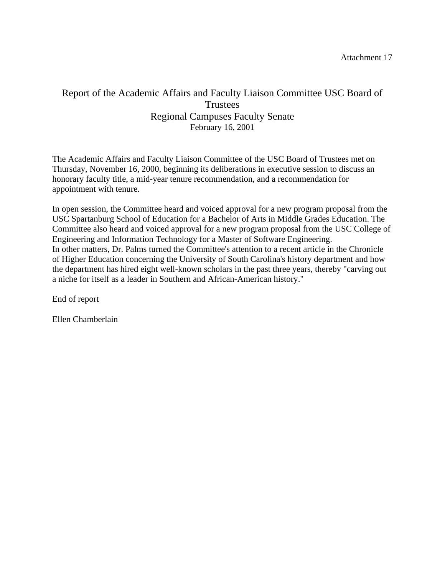# Report of the Academic Affairs and Faculty Liaison Committee USC Board of **Trustees** Regional Campuses Faculty Senate February 16, 2001

The Academic Affairs and Faculty Liaison Committee of the USC Board of Trustees met on Thursday, November 16, 2000, beginning its deliberations in executive session to discuss an honorary faculty title, a mid-year tenure recommendation, and a recommendation for appointment with tenure.

In open session, the Committee heard and voiced approval for a new program proposal from the USC Spartanburg School of Education for a Bachelor of Arts in Middle Grades Education. The Committee also heard and voiced approval for a new program proposal from the USC College of Engineering and Information Technology for a Master of Software Engineering. In other matters, Dr. Palms turned the Committee's attention to a recent article in the Chronicle of Higher Education concerning the University of South Carolina's history department and how the department has hired eight well-known scholars in the past three years, thereby "carving out a niche for itself as a leader in Southern and African-American history."

End of report

Ellen Chamberlain